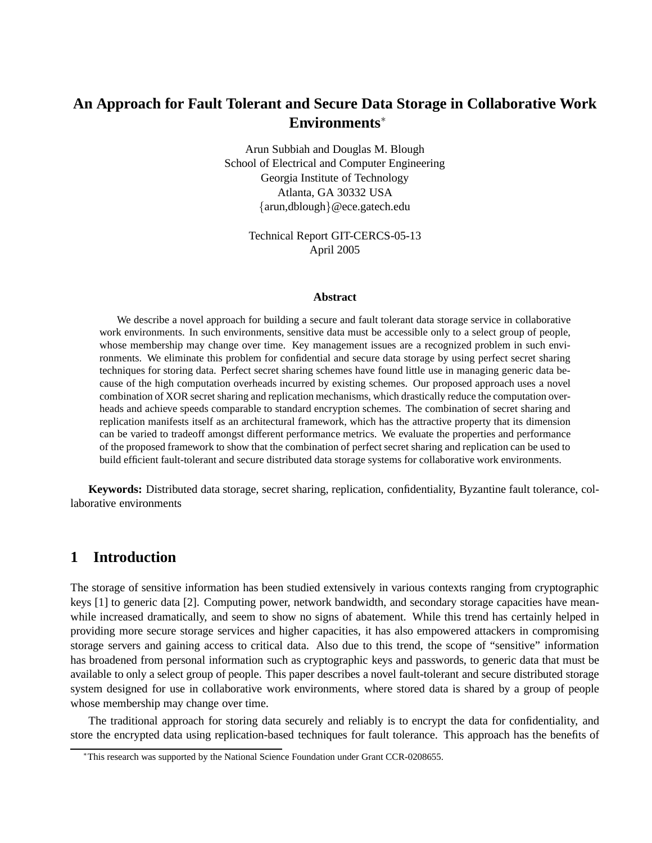# **An Approach for Fault Tolerant and Secure Data Storage in Collaborative Work Environments**<sup>∗</sup>

Arun Subbiah and Douglas M. Blough School of Electrical and Computer Engineering Georgia Institute of Technology Atlanta, GA 30332 USA {arun,dblough}@ece.gatech.edu

> Technical Report GIT-CERCS-05-13 April 2005

#### **Abstract**

We describe a novel approach for building a secure and fault tolerant data storage service in collaborative work environments. In such environments, sensitive data must be accessible only to a select group of people, whose membership may change over time. Key management issues are a recognized problem in such environments. We eliminate this problem for confidential and secure data storage by using perfect secret sharing techniques for storing data. Perfect secret sharing schemes have found little use in managing generic data because of the high computation overheads incurred by existing schemes. Our proposed approach uses a novel combination of XOR secret sharing and replication mechanisms, which drastically reduce the computation overheads and achieve speeds comparable to standard encryption schemes. The combination of secret sharing and replication manifests itself as an architectural framework, which has the attractive property that its dimension can be varied to tradeoff amongst different performance metrics. We evaluate the properties and performance of the proposed framework to show that the combination of perfect secret sharing and replication can be used to build efficient fault-tolerant and secure distributed data storage systems for collaborative work environments.

**Keywords:** Distributed data storage, secret sharing, replication, confidentiality, Byzantine fault tolerance, collaborative environments

# **1 Introduction**

The storage of sensitive information has been studied extensively in various contexts ranging from cryptographic keys [1] to generic data [2]. Computing power, network bandwidth, and secondary storage capacities have meanwhile increased dramatically, and seem to show no signs of abatement. While this trend has certainly helped in providing more secure storage services and higher capacities, it has also empowered attackers in compromising storage servers and gaining access to critical data. Also due to this trend, the scope of "sensitive" information has broadened from personal information such as cryptographic keys and passwords, to generic data that must be available to only a select group of people. This paper describes a novel fault-tolerant and secure distributed storage system designed for use in collaborative work environments, where stored data is shared by a group of people whose membership may change over time.

The traditional approach for storing data securely and reliably is to encrypt the data for confidentiality, and store the encrypted data using replication-based techniques for fault tolerance. This approach has the benefits of

<sup>∗</sup>This research was supported by the National Science Foundation under Grant CCR-0208655.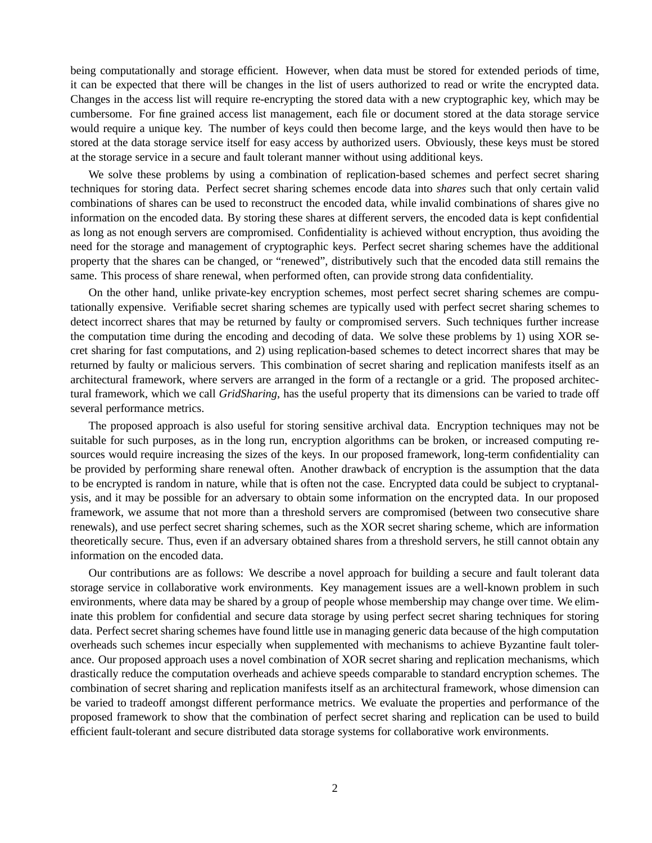being computationally and storage efficient. However, when data must be stored for extended periods of time, it can be expected that there will be changes in the list of users authorized to read or write the encrypted data. Changes in the access list will require re-encrypting the stored data with a new cryptographic key, which may be cumbersome. For fine grained access list management, each file or document stored at the data storage service would require a unique key. The number of keys could then become large, and the keys would then have to be stored at the data storage service itself for easy access by authorized users. Obviously, these keys must be stored at the storage service in a secure and fault tolerant manner without using additional keys.

We solve these problems by using a combination of replication-based schemes and perfect secret sharing techniques for storing data. Perfect secret sharing schemes encode data into *shares* such that only certain valid combinations of shares can be used to reconstruct the encoded data, while invalid combinations of shares give no information on the encoded data. By storing these shares at different servers, the encoded data is kept confidential as long as not enough servers are compromised. Confidentiality is achieved without encryption, thus avoiding the need for the storage and management of cryptographic keys. Perfect secret sharing schemes have the additional property that the shares can be changed, or "renewed", distributively such that the encoded data still remains the same. This process of share renewal, when performed often, can provide strong data confidentiality.

On the other hand, unlike private-key encryption schemes, most perfect secret sharing schemes are computationally expensive. Verifiable secret sharing schemes are typically used with perfect secret sharing schemes to detect incorrect shares that may be returned by faulty or compromised servers. Such techniques further increase the computation time during the encoding and decoding of data. We solve these problems by 1) using XOR secret sharing for fast computations, and 2) using replication-based schemes to detect incorrect shares that may be returned by faulty or malicious servers. This combination of secret sharing and replication manifests itself as an architectural framework, where servers are arranged in the form of a rectangle or a grid. The proposed architectural framework, which we call *GridSharing*, has the useful property that its dimensions can be varied to trade off several performance metrics.

The proposed approach is also useful for storing sensitive archival data. Encryption techniques may not be suitable for such purposes, as in the long run, encryption algorithms can be broken, or increased computing resources would require increasing the sizes of the keys. In our proposed framework, long-term confidentiality can be provided by performing share renewal often. Another drawback of encryption is the assumption that the data to be encrypted is random in nature, while that is often not the case. Encrypted data could be subject to cryptanalysis, and it may be possible for an adversary to obtain some information on the encrypted data. In our proposed framework, we assume that not more than a threshold servers are compromised (between two consecutive share renewals), and use perfect secret sharing schemes, such as the XOR secret sharing scheme, which are information theoretically secure. Thus, even if an adversary obtained shares from a threshold servers, he still cannot obtain any information on the encoded data.

Our contributions are as follows: We describe a novel approach for building a secure and fault tolerant data storage service in collaborative work environments. Key management issues are a well-known problem in such environments, where data may be shared by a group of people whose membership may change over time. We eliminate this problem for confidential and secure data storage by using perfect secret sharing techniques for storing data. Perfect secret sharing schemes have found little use in managing generic data because of the high computation overheads such schemes incur especially when supplemented with mechanisms to achieve Byzantine fault tolerance. Our proposed approach uses a novel combination of XOR secret sharing and replication mechanisms, which drastically reduce the computation overheads and achieve speeds comparable to standard encryption schemes. The combination of secret sharing and replication manifests itself as an architectural framework, whose dimension can be varied to tradeoff amongst different performance metrics. We evaluate the properties and performance of the proposed framework to show that the combination of perfect secret sharing and replication can be used to build efficient fault-tolerant and secure distributed data storage systems for collaborative work environments.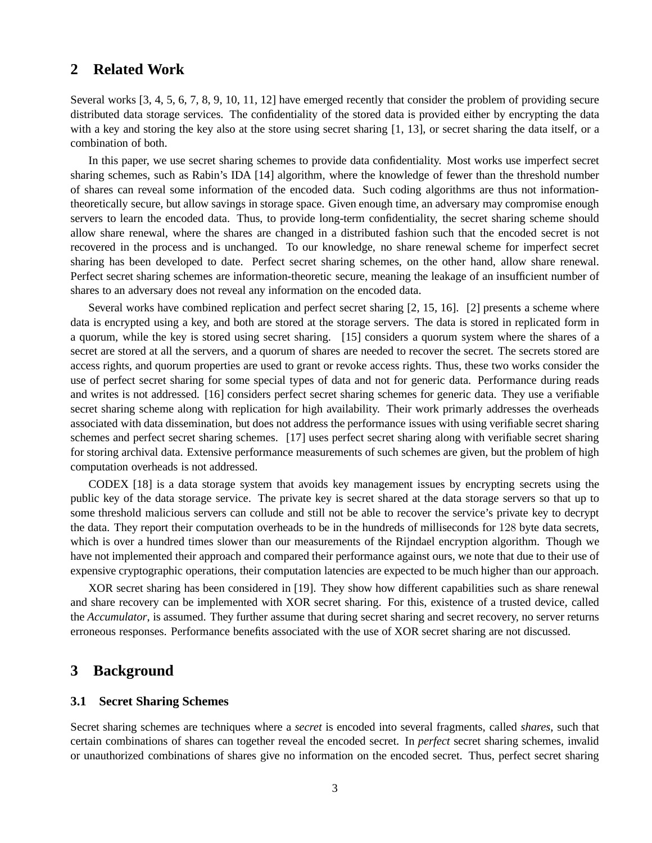## **2 Related Work**

Several works [3, 4, 5, 6, 7, 8, 9, 10, 11, 12] have emerged recently that consider the problem of providing secure distributed data storage services. The confidentiality of the stored data is provided either by encrypting the data with a key and storing the key also at the store using secret sharing [1, 13], or secret sharing the data itself, or a combination of both.

In this paper, we use secret sharing schemes to provide data confidentiality. Most works use imperfect secret sharing schemes, such as Rabin's IDA [14] algorithm, where the knowledge of fewer than the threshold number of shares can reveal some information of the encoded data. Such coding algorithms are thus not informationtheoretically secure, but allow savings in storage space. Given enough time, an adversary may compromise enough servers to learn the encoded data. Thus, to provide long-term confidentiality, the secret sharing scheme should allow share renewal, where the shares are changed in a distributed fashion such that the encoded secret is not recovered in the process and is unchanged. To our knowledge, no share renewal scheme for imperfect secret sharing has been developed to date. Perfect secret sharing schemes, on the other hand, allow share renewal. Perfect secret sharing schemes are information-theoretic secure, meaning the leakage of an insufficient number of shares to an adversary does not reveal any information on the encoded data.

Several works have combined replication and perfect secret sharing [2, 15, 16]. [2] presents a scheme where data is encrypted using a key, and both are stored at the storage servers. The data is stored in replicated form in a quorum, while the key is stored using secret sharing. [15] considers a quorum system where the shares of a secret are stored at all the servers, and a quorum of shares are needed to recover the secret. The secrets stored are access rights, and quorum properties are used to grant or revoke access rights. Thus, these two works consider the use of perfect secret sharing for some special types of data and not for generic data. Performance during reads and writes is not addressed. [16] considers perfect secret sharing schemes for generic data. They use a verifiable secret sharing scheme along with replication for high availability. Their work primarly addresses the overheads associated with data dissemination, but does not address the performance issues with using verifiable secret sharing schemes and perfect secret sharing schemes. [17] uses perfect secret sharing along with verifiable secret sharing for storing archival data. Extensive performance measurements of such schemes are given, but the problem of high computation overheads is not addressed.

CODEX [18] is a data storage system that avoids key management issues by encrypting secrets using the public key of the data storage service. The private key is secret shared at the data storage servers so that up to some threshold malicious servers can collude and still not be able to recover the service's private key to decrypt the data. They report their computation overheads to be in the hundreds of milliseconds for 128 byte data secrets, which is over a hundred times slower than our measurements of the Rijndael encryption algorithm. Though we have not implemented their approach and compared their performance against ours, we note that due to their use of expensive cryptographic operations, their computation latencies are expected to be much higher than our approach.

XOR secret sharing has been considered in [19]. They show how different capabilities such as share renewal and share recovery can be implemented with XOR secret sharing. For this, existence of a trusted device, called the *Accumulator*, is assumed. They further assume that during secret sharing and secret recovery, no server returns erroneous responses. Performance benefits associated with the use of XOR secret sharing are not discussed.

## **3 Background**

### **3.1 Secret Sharing Schemes**

Secret sharing schemes are techniques where a *secret* is encoded into several fragments, called *shares*, such that certain combinations of shares can together reveal the encoded secret. In *perfect* secret sharing schemes, invalid or unauthorized combinations of shares give no information on the encoded secret. Thus, perfect secret sharing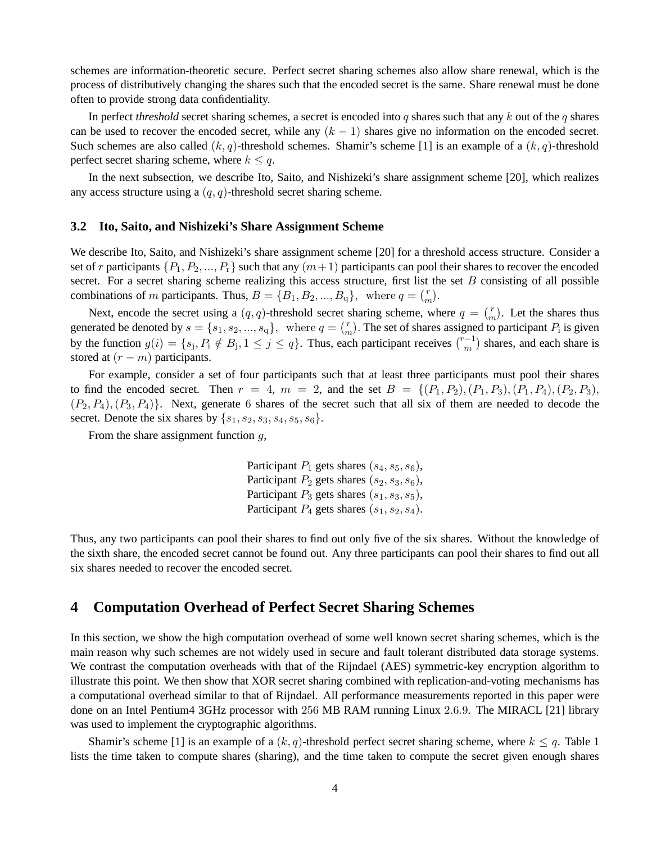schemes are information-theoretic secure. Perfect secret sharing schemes also allow share renewal, which is the process of distributively changing the shares such that the encoded secret is the same. Share renewal must be done often to provide strong data confidentiality.

In perfect *threshold* secret sharing schemes, a secret is encoded into q shares such that any k out of the q shares can be used to recover the encoded secret, while any  $(k - 1)$  shares give no information on the encoded secret. Such schemes are also called  $(k, q)$ -threshold schemes. Shamir's scheme [1] is an example of a  $(k, q)$ -threshold perfect secret sharing scheme, where  $k \leq q$ .

In the next subsection, we describe Ito, Saito, and Nishizeki's share assignment scheme [20], which realizes any access structure using a  $(q, q)$ -threshold secret sharing scheme.

### **3.2 Ito, Saito, and Nishizeki's Share Assignment Scheme**

We describe Ito, Saito, and Nishizeki's share assignment scheme [20] for a threshold access structure. Consider a set of r participants  $\{P_1, P_2, ..., P_r\}$  such that any  $(m+1)$  participants can pool their shares to recover the encoded secret. For a secret sharing scheme realizing this access structure, first list the set  $B$  consisting of all possible combinations of m participants. Thus,  $B = \{B_1, B_2, ..., B_q\}$ , where  $q = {r \choose m}$  $\binom{r}{m}$ .

Next, encode the secret using a  $(q, q)$ -threshold secret sharing scheme, where  $q = \binom{r}{m}$  $\binom{r}{m}$ . Let the shares thus generated be denoted by  $s = \{s_1, s_2, ..., s_q\}$ , where  $q = \binom{r}{r}$  $\binom{r}{m}$ . The set of shares assigned to participant  $P_i$  is given by the function  $g(i) = \{s_j, P_i \notin B_j, 1 \leq j \leq q\}$ . Thus, each participant receives  $\binom{r-1}{m}$  shares, and each share is stored at  $(r - m)$  participants.

For example, consider a set of four participants such that at least three participants must pool their shares to find the encoded secret. Then  $r = 4$ ,  $m = 2$ , and the set  $B = \{(P_1, P_2), (P_1, P_3), (P_1, P_4), (P_2, P_3),$  $(P_2, P_4), (P_3, P_4)$ . Next, generate 6 shares of the secret such that all six of them are needed to decode the secret. Denote the six shares by  $\{s_1, s_2, s_3, s_4, s_5, s_6\}.$ 

From the share assignment function  $q$ ,

Participant  $P_1$  gets shares  $(s_4, s_5, s_6)$ , Participant  $P_2$  gets shares  $(s_2, s_3, s_6)$ , Participant  $P_3$  gets shares  $(s_1, s_3, s_5)$ , Participant  $P_4$  gets shares  $(s_1, s_2, s_4)$ .

Thus, any two participants can pool their shares to find out only five of the six shares. Without the knowledge of the sixth share, the encoded secret cannot be found out. Any three participants can pool their shares to find out all six shares needed to recover the encoded secret.

## **4 Computation Overhead of Perfect Secret Sharing Schemes**

In this section, we show the high computation overhead of some well known secret sharing schemes, which is the main reason why such schemes are not widely used in secure and fault tolerant distributed data storage systems. We contrast the computation overheads with that of the Rijndael (AES) symmetric-key encryption algorithm to illustrate this point. We then show that XOR secret sharing combined with replication-and-voting mechanisms has a computational overhead similar to that of Rijndael. All performance measurements reported in this paper were done on an Intel Pentium4 3GHz processor with 256 MB RAM running Linux 2.6.9. The MIRACL [21] library was used to implement the cryptographic algorithms.

Shamir's scheme [1] is an example of a  $(k, q)$ -threshold perfect secret sharing scheme, where  $k \leq q$ . Table 1 lists the time taken to compute shares (sharing), and the time taken to compute the secret given enough shares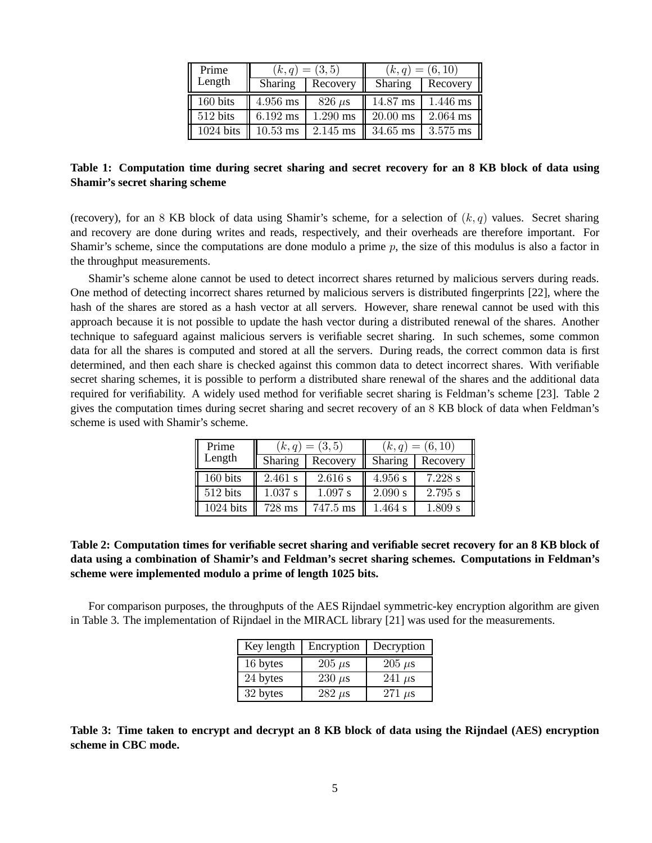| Prime     |                    | $(k,q) = (3,5)$ | $(k,q) = (6,10)$ |          |
|-----------|--------------------|-----------------|------------------|----------|
| Length    | Sharing            | Recovery        | Sharing          | Recovery |
| 160 bits  | 4.956 ms           | $826 \mu s$     | 14.87 ms         | 1.446 ms |
| 512 bits  | 6.192 ms           | $1.290$ ms      | $20.00$ ms       | 2.064 ms |
| 1024 bits | $10.53 \text{ ms}$ | 2.145 ms        | 34.65 ms         | 3.575 ms |

**Table 1: Computation time during secret sharing and secret recovery for an 8 KB block of data using Shamir's secret sharing scheme**

(recovery), for an 8 KB block of data using Shamir's scheme, for a selection of  $(k, q)$  values. Secret sharing and recovery are done during writes and reads, respectively, and their overheads are therefore important. For Shamir's scheme, since the computations are done modulo a prime  $p$ , the size of this modulus is also a factor in the throughput measurements.

Shamir's scheme alone cannot be used to detect incorrect shares returned by malicious servers during reads. One method of detecting incorrect shares returned by malicious servers is distributed fingerprints [22], where the hash of the shares are stored as a hash vector at all servers. However, share renewal cannot be used with this approach because it is not possible to update the hash vector during a distributed renewal of the shares. Another technique to safeguard against malicious servers is verifiable secret sharing. In such schemes, some common data for all the shares is computed and stored at all the servers. During reads, the correct common data is first determined, and then each share is checked against this common data to detect incorrect shares. With verifiable secret sharing schemes, it is possible to perform a distributed share renewal of the shares and the additional data required for verifiability. A widely used method for verifiable secret sharing is Feldman's scheme [23]. Table 2 gives the computation times during secret sharing and secret recovery of an 8 KB block of data when Feldman's scheme is used with Shamir's scheme.

| Prime     |          | $(k,q) = (3,5)$ | $(k,q) = (6,10)$ |          |
|-----------|----------|-----------------|------------------|----------|
| Length    | Sharing  | Recovery        | Sharing          | Recovery |
| 160 bits  | 2.461 s  | 2.616 s         | 4.956 s          | 7.228 s  |
| 512 bits  | 1.037 s  | 1.097 s         | 2.090 s          | 2.795 s  |
| 1024 bits | $728$ ms | 747.5 ms        | $1.464$ s        | 1.809 s  |

## **Table 2: Computation times for verifiable secret sharing and verifiable secret recovery for an 8 KB block of data using a combination of Shamir's and Feldman's secret sharing schemes. Computations in Feldman's scheme were implemented modulo a prime of length 1025 bits.**

For comparison purposes, the throughputs of the AES Rijndael symmetric-key encryption algorithm are given in Table 3. The implementation of Rijndael in the MIRACL library [21] was used for the measurements.

| Key length | Encryption    | Decryption  |
|------------|---------------|-------------|
| 16 bytes   | $205 \ \mu s$ | $205 \mu s$ |
| 24 bytes   | $230 \mu s$   | 241 $\mu$ s |
| 32 bytes   | $282 \mu s$   | $271 \mu s$ |

**Table 3: Time taken to encrypt and decrypt an 8 KB block of data using the Rijndael (AES) encryption scheme in CBC mode.**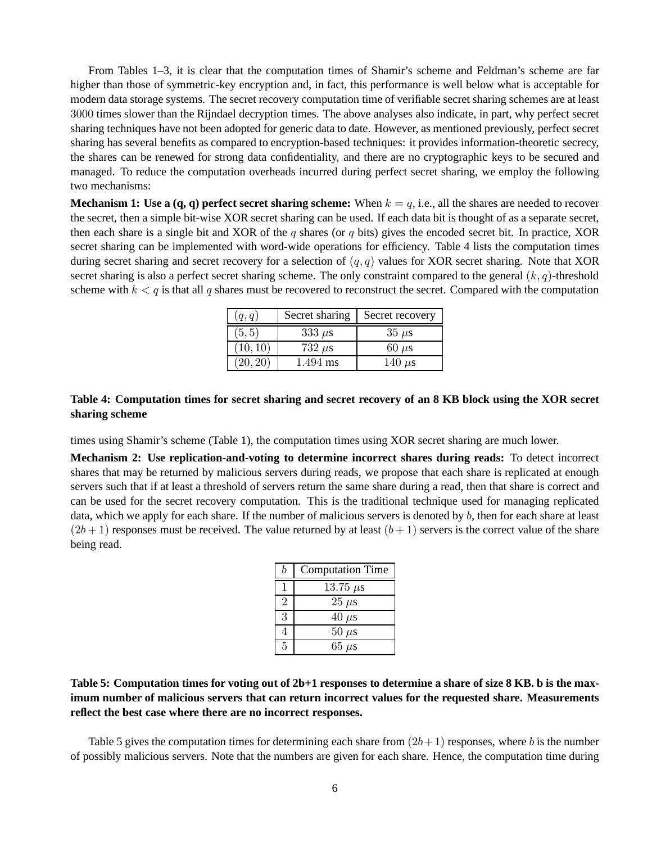From Tables 1–3, it is clear that the computation times of Shamir's scheme and Feldman's scheme are far higher than those of symmetric-key encryption and, in fact, this performance is well below what is acceptable for modern data storage systems. The secret recovery computation time of verifiable secret sharing schemes are at least 3000 times slower than the Rijndael decryption times. The above analyses also indicate, in part, why perfect secret sharing techniques have not been adopted for generic data to date. However, as mentioned previously, perfect secret sharing has several benefits as compared to encryption-based techniques: it provides information-theoretic secrecy, the shares can be renewed for strong data confidentiality, and there are no cryptographic keys to be secured and managed. To reduce the computation overheads incurred during perfect secret sharing, we employ the following two mechanisms:

**Mechanism 1: Use a**  $(q, q)$  **perfect secret sharing scheme:** When  $k = q$ , i.e., all the shares are needed to recover the secret, then a simple bit-wise XOR secret sharing can be used. If each data bit is thought of as a separate secret, then each share is a single bit and XOR of the q shares (or q bits) gives the encoded secret bit. In practice, XOR secret sharing can be implemented with word-wide operations for efficiency. Table 4 lists the computation times during secret sharing and secret recovery for a selection of  $(q, q)$  values for XOR secret sharing. Note that XOR secret sharing is also a perfect secret sharing scheme. The only constraint compared to the general  $(k, q)$ -threshold scheme with  $k < q$  is that all q shares must be recovered to reconstruct the secret. Compared with the computation

| (q,q)    | Secret sharing | Secret recovery |
|----------|----------------|-----------------|
| (5, 5)   | $333 \mu s$    | $35 \mu s$      |
| (10, 10) | $732 \mu s$    | $60 \mu s$      |
| (20, 20) | $1.494$ ms     | 140 $\mu$ s     |

### **Table 4: Computation times for secret sharing and secret recovery of an 8 KB block using the XOR secret sharing scheme**

times using Shamir's scheme (Table 1), the computation times using XOR secret sharing are much lower.

**Mechanism 2: Use replication-and-voting to determine incorrect shares during reads:** To detect incorrect shares that may be returned by malicious servers during reads, we propose that each share is replicated at enough servers such that if at least a threshold of servers return the same share during a read, then that share is correct and can be used for the secret recovery computation. This is the traditional technique used for managing replicated data, which we apply for each share. If the number of malicious servers is denoted by b, then for each share at least  $(2b+1)$  responses must be received. The value returned by at least  $(b+1)$  servers is the correct value of the share being read.

| b              | <b>Computation Time</b> |
|----------------|-------------------------|
|                | 13.75 $\mu$ s           |
| $\overline{2}$ | $25 \ \mu s$            |
| 3              | $40 \mu s$              |
|                | $50 \ \mu s$            |
| 5              | $65 \ \mu s$            |

## **Table 5: Computation times for voting out of 2b+1 responses to determine a share of size 8 KB. b is the maximum number of malicious servers that can return incorrect values for the requested share. Measurements reflect the best case where there are no incorrect responses.**

Table 5 gives the computation times for determining each share from  $(2b+1)$  responses, where b is the number of possibly malicious servers. Note that the numbers are given for each share. Hence, the computation time during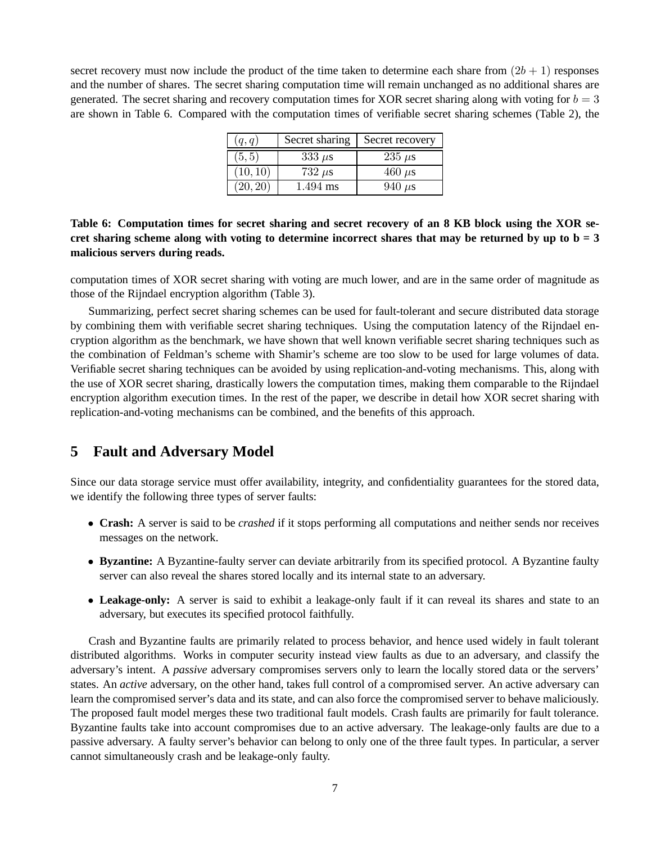secret recovery must now include the product of the time taken to determine each share from  $(2b + 1)$  responses and the number of shares. The secret sharing computation time will remain unchanged as no additional shares are generated. The secret sharing and recovery computation times for XOR secret sharing along with voting for  $b = 3$ are shown in Table 6. Compared with the computation times of verifiable secret sharing schemes (Table 2), the

| (q,q)    | Secret sharing | Secret recovery |
|----------|----------------|-----------------|
| (5, 5)   | $333 \mu s$    | $235 \mu s$     |
| (10, 10) | $732 \mu s$    | $460 \mu s$     |
| (20, 20) | 1.494 ms       | $940 \mu s$     |

## **Table 6: Computation times for secret sharing and secret recovery of an 8 KB block using the XOR se**cret sharing scheme along with voting to determine incorrect shares that may be returned by up to  $b = 3$ **malicious servers during reads.**

computation times of XOR secret sharing with voting are much lower, and are in the same order of magnitude as those of the Rijndael encryption algorithm (Table 3).

Summarizing, perfect secret sharing schemes can be used for fault-tolerant and secure distributed data storage by combining them with verifiable secret sharing techniques. Using the computation latency of the Rijndael encryption algorithm as the benchmark, we have shown that well known verifiable secret sharing techniques such as the combination of Feldman's scheme with Shamir's scheme are too slow to be used for large volumes of data. Verifiable secret sharing techniques can be avoided by using replication-and-voting mechanisms. This, along with the use of XOR secret sharing, drastically lowers the computation times, making them comparable to the Rijndael encryption algorithm execution times. In the rest of the paper, we describe in detail how XOR secret sharing with replication-and-voting mechanisms can be combined, and the benefits of this approach.

# **5 Fault and Adversary Model**

Since our data storage service must offer availability, integrity, and confidentiality guarantees for the stored data, we identify the following three types of server faults:

- **Crash:** A server is said to be *crashed* if it stops performing all computations and neither sends nor receives messages on the network.
- **Byzantine:** A Byzantine-faulty server can deviate arbitrarily from its specified protocol. A Byzantine faulty server can also reveal the shares stored locally and its internal state to an adversary.
- **Leakage-only:** A server is said to exhibit a leakage-only fault if it can reveal its shares and state to an adversary, but executes its specified protocol faithfully.

Crash and Byzantine faults are primarily related to process behavior, and hence used widely in fault tolerant distributed algorithms. Works in computer security instead view faults as due to an adversary, and classify the adversary's intent. A *passive* adversary compromises servers only to learn the locally stored data or the servers' states. An *active* adversary, on the other hand, takes full control of a compromised server. An active adversary can learn the compromised server's data and its state, and can also force the compromised server to behave maliciously. The proposed fault model merges these two traditional fault models. Crash faults are primarily for fault tolerance. Byzantine faults take into account compromises due to an active adversary. The leakage-only faults are due to a passive adversary. A faulty server's behavior can belong to only one of the three fault types. In particular, a server cannot simultaneously crash and be leakage-only faulty.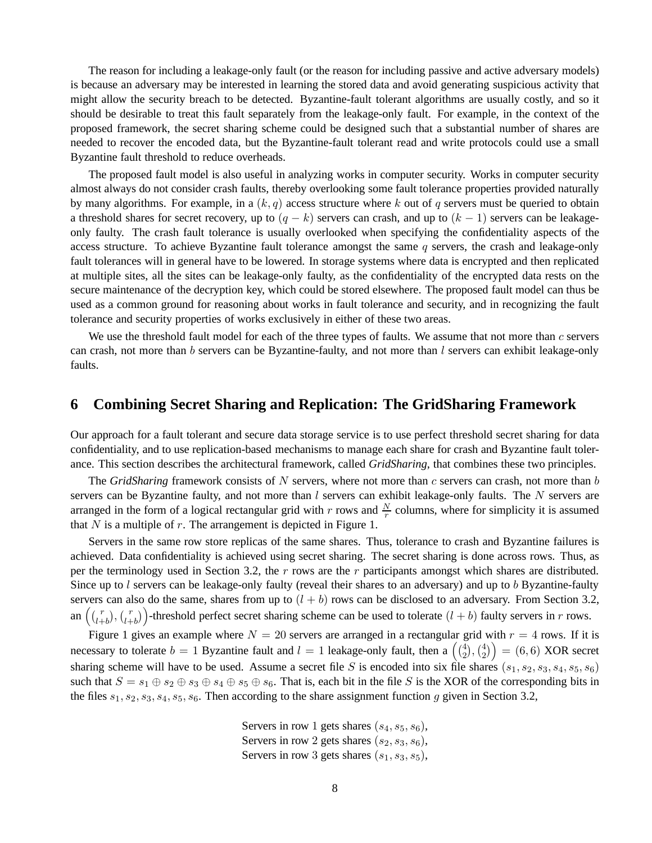The reason for including a leakage-only fault (or the reason for including passive and active adversary models) is because an adversary may be interested in learning the stored data and avoid generating suspicious activity that might allow the security breach to be detected. Byzantine-fault tolerant algorithms are usually costly, and so it should be desirable to treat this fault separately from the leakage-only fault. For example, in the context of the proposed framework, the secret sharing scheme could be designed such that a substantial number of shares are needed to recover the encoded data, but the Byzantine-fault tolerant read and write protocols could use a small Byzantine fault threshold to reduce overheads.

The proposed fault model is also useful in analyzing works in computer security. Works in computer security almost always do not consider crash faults, thereby overlooking some fault tolerance properties provided naturally by many algorithms. For example, in a  $(k, q)$  access structure where k out of q servers must be queried to obtain a threshold shares for secret recovery, up to  $(q - k)$  servers can crash, and up to  $(k - 1)$  servers can be leakageonly faulty. The crash fault tolerance is usually overlooked when specifying the confidentiality aspects of the access structure. To achieve Byzantine fault tolerance amongst the same  $q$  servers, the crash and leakage-only fault tolerances will in general have to be lowered. In storage systems where data is encrypted and then replicated at multiple sites, all the sites can be leakage-only faulty, as the confidentiality of the encrypted data rests on the secure maintenance of the decryption key, which could be stored elsewhere. The proposed fault model can thus be used as a common ground for reasoning about works in fault tolerance and security, and in recognizing the fault tolerance and security properties of works exclusively in either of these two areas.

We use the threshold fault model for each of the three types of faults. We assume that not more than  $c$  servers can crash, not more than b servers can be Byzantine-faulty, and not more than  $l$  servers can exhibit leakage-only faults.

## **6 Combining Secret Sharing and Replication: The GridSharing Framework**

Our approach for a fault tolerant and secure data storage service is to use perfect threshold secret sharing for data confidentiality, and to use replication-based mechanisms to manage each share for crash and Byzantine fault tolerance. This section describes the architectural framework, called *GridSharing*, that combines these two principles.

The *GridSharing* framework consists of N servers, where not more than c servers can crash, not more than b servers can be Byzantine faulty, and not more than  $l$  servers can exhibit leakage-only faults. The  $N$  servers are arranged in the form of a logical rectangular grid with r rows and  $\frac{N}{r}$  columns, where for simplicity it is assumed that  $N$  is a multiple of  $r$ . The arrangement is depicted in Figure 1.

Servers in the same row store replicas of the same shares. Thus, tolerance to crash and Byzantine failures is achieved. Data confidentiality is achieved using secret sharing. The secret sharing is done across rows. Thus, as per the terminology used in Section 3.2, the  $r$  rows are the  $r$  participants amongst which shares are distributed. Since up to  $l$  servers can be leakage-only faulty (reveal their shares to an adversary) and up to  $b$  Byzantine-faulty servers can also do the same, shares from up to  $(l + b)$  rows can be disclosed to an adversary. From Section 3.2, an  $\left(\binom{r}{l+1}\right)$  $\binom{r}{l+b}$ ,  $\binom{r}{l+b}$  $\binom{r}{l+b}$  -threshold perfect secret sharing scheme can be used to tolerate  $(l+b)$  faulty servers in r rows.

Figure 1 gives an example where  $N = 20$  servers are arranged in a rectangular grid with  $r = 4$  rows. If it is necessary to tolerate  $b = 1$  Byzantine fault and  $l = 1$  leakage-only fault, then a  $\begin{pmatrix} 4 \\ 2 \end{pmatrix}$  $\binom{4}{2}, \binom{4}{2}$  $\binom{4}{2}$  = (6,6) XOR secret sharing scheme will have to be used. Assume a secret file S is encoded into six file shares  $(s_1, s_2, s_3, s_4, s_5, s_6)$ such that  $S = s_1 \oplus s_2 \oplus s_3 \oplus s_4 \oplus s_5 \oplus s_6$ . That is, each bit in the file S is the XOR of the corresponding bits in the files  $s_1, s_2, s_3, s_4, s_5, s_6$ . Then according to the share assignment function g given in Section 3.2,

> Servers in row 1 gets shares  $(s_4, s_5, s_6)$ , Servers in row 2 gets shares  $(s_2, s_3, s_6)$ , Servers in row 3 gets shares  $(s_1, s_3, s_5)$ ,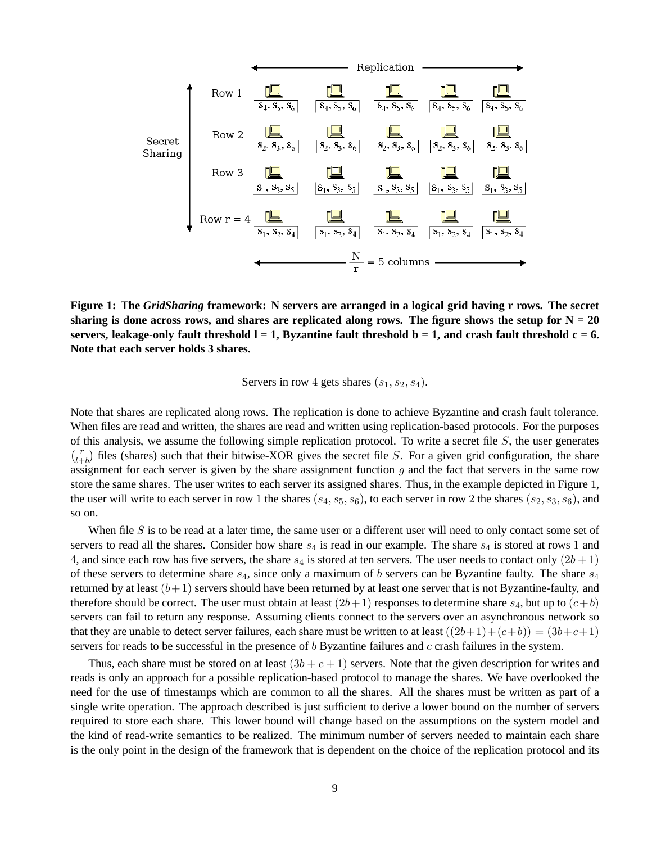

**Figure 1: The** *GridSharing* **framework: N servers are arranged in a logical grid having r rows. The secret** sharing is done across rows, and shares are replicated along rows. The figure shows the setup for  $N = 20$ servers, leakage-only fault threshold  $l = 1$ , Byzantine fault threshold  $b = 1$ , and crash fault threshold  $c = 6$ . **Note that each server holds 3 shares.**

Servers in row 4 gets shares  $(s_1, s_2, s_4)$ .

Note that shares are replicated along rows. The replication is done to achieve Byzantine and crash fault tolerance. When files are read and written, the shares are read and written using replication-based protocols. For the purposes of this analysis, we assume the following simple replication protocol. To write a secret file  $S$ , the user generates  $r_{l+b}$  files (shares) such that their bitwise-XOR gives the secret file S. For a given grid configuration, the share assignment for each server is given by the share assignment function  $q$  and the fact that servers in the same row store the same shares. The user writes to each server its assigned shares. Thus, in the example depicted in Figure 1, the user will write to each server in row 1 the shares  $(s_4, s_5, s_6)$ , to each server in row 2 the shares  $(s_2, s_3, s_6)$ , and so on.

When file S is to be read at a later time, the same user or a different user will need to only contact some set of servers to read all the shares. Consider how share  $s_4$  is read in our example. The share  $s_4$  is stored at rows 1 and 4, and since each row has five servers, the share  $s_4$  is stored at ten servers. The user needs to contact only  $(2b+1)$ of these servers to determine share  $s_4$ , since only a maximum of b servers can be Byzantine faulty. The share  $s_4$ returned by at least  $(b+1)$  servers should have been returned by at least one server that is not Byzantine-faulty, and therefore should be correct. The user must obtain at least  $(2b+1)$  responses to determine share  $s_4$ , but up to  $(c+b)$ servers can fail to return any response. Assuming clients connect to the servers over an asynchronous network so that they are unable to detect server failures, each share must be written to at least  $((2b+1)+(c+b)) = (3b+c+1)$ servers for reads to be successful in the presence of  $b$  Byzantine failures and  $c$  crash failures in the system.

Thus, each share must be stored on at least  $(3b + c + 1)$  servers. Note that the given description for writes and reads is only an approach for a possible replication-based protocol to manage the shares. We have overlooked the need for the use of timestamps which are common to all the shares. All the shares must be written as part of a single write operation. The approach described is just sufficient to derive a lower bound on the number of servers required to store each share. This lower bound will change based on the assumptions on the system model and the kind of read-write semantics to be realized. The minimum number of servers needed to maintain each share is the only point in the design of the framework that is dependent on the choice of the replication protocol and its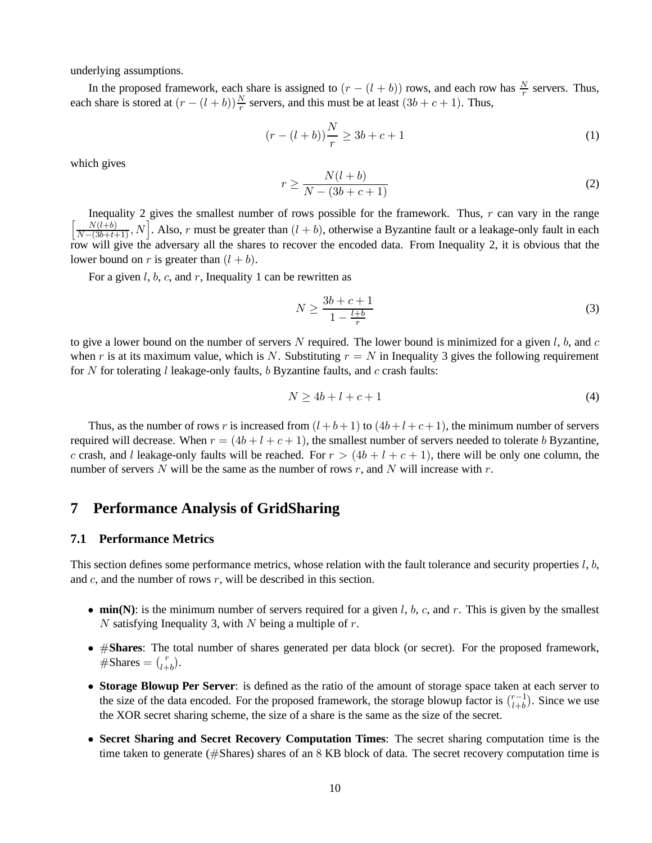underlying assumptions.

In the proposed framework, each share is assigned to  $(r - (l + b))$  rows, and each row has  $\frac{N}{r}$  servers. Thus, each share is stored at  $(r - (l + b))\frac{N}{r}$  servers, and this must be at least  $(3b + c + 1)$ . Thus,

$$
(r - (l + b))\frac{N}{r} \ge 3b + c + 1\tag{1}
$$

which gives

$$
r \ge \frac{N(l+b)}{N-(3b+c+1)}
$$
\n<sup>(2)</sup>

Inequality 2 gives the smallest number of rows possible for the framework. Thus,  $r$  can vary in the range  $\left[\frac{N(l+b)}{N-(3b+t+1)}, N\right]$ . Also, r must be greater than  $(l+b)$ , otherwise a Byzantine fault or a leakage-only fault in each row will give the adversary all the shares to recover the encoded data. From Inequality 2, it is obvious that the lower bound on r is greater than  $(l + b)$ .

For a given l, b, c, and r, Inequality 1 can be rewritten as

$$
N \ge \frac{3b + c + 1}{1 - \frac{l + b}{r}}\tag{3}
$$

to give a lower bound on the number of servers N required. The lower bound is minimized for a given  $l, b$ , and  $c$ when r is at its maximum value, which is N. Substituting  $r = N$  in Inequality 3 gives the following requirement for N for tolerating l leakage-only faults, b Byzantine faults, and  $c$  crash faults:

$$
N \ge 4b + l + c + 1\tag{4}
$$

Thus, as the number of rows r is increased from  $(l + b + 1)$  to  $(4b + l + c + 1)$ , the minimum number of servers required will decrease. When  $r = (4b + l + c + 1)$ , the smallest number of servers needed to tolerate b Byzantine, c crash, and l leakage-only faults will be reached. For  $r > (4b + l + c + 1)$ , there will be only one column, the number of servers N will be the same as the number of rows r, and N will increase with r.

## **7 Performance Analysis of GridSharing**

### **7.1 Performance Metrics**

This section defines some performance metrics, whose relation with the fault tolerance and security properties  $l, b$ , and  $c$ , and the number of rows  $r$ , will be described in this section.

- **min(N)**: is the minimum number of servers required for a given  $l$ ,  $b$ ,  $c$ , and  $r$ . This is given by the smallest N satisfying Inequality 3, with N being a multiple of  $r$ .
- #**Shares**: The total number of shares generated per data block (or secret). For the proposed framework,  $\overset{\shortparallel}{\#}$ Shares =  $\binom{r}{l+1}$  $_{l+b}^{r}$ ).
- **Storage Blowup Per Server**: is defined as the ratio of the amount of storage space taken at each server to the size of the data encoded. For the proposed framework, the storage blowup factor is  $\int_{l+h}^{-1}$  $\binom{r-1}{l+b}$ . Since we use the XOR secret sharing scheme, the size of a share is the same as the size of the secret.
- **Secret Sharing and Secret Recovery Computation Times**: The secret sharing computation time is the time taken to generate (#Shares) shares of an 8 KB block of data. The secret recovery computation time is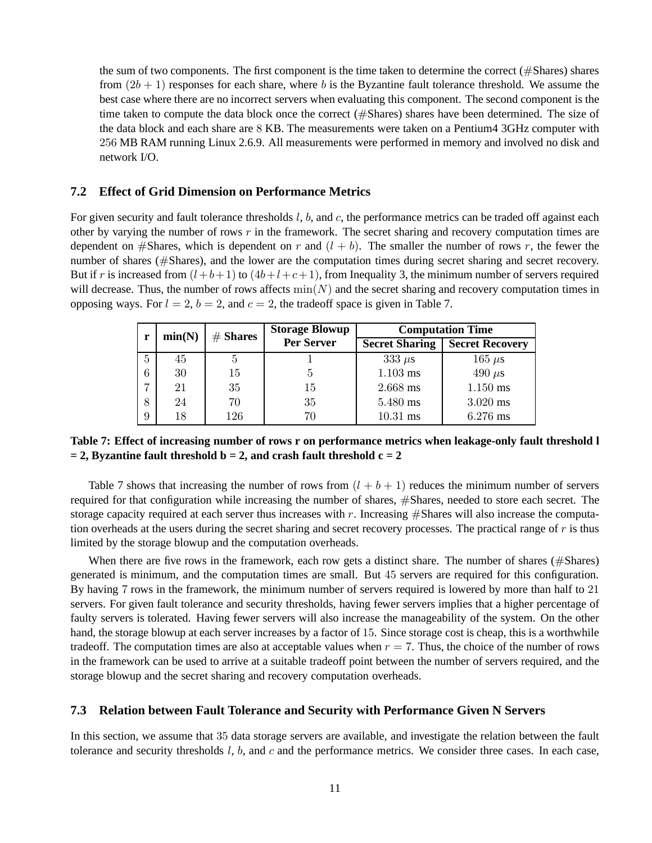the sum of two components. The first component is the time taken to determine the correct (#Shares) shares from  $(2b + 1)$  responses for each share, where b is the Byzantine fault tolerance threshold. We assume the best case where there are no incorrect servers when evaluating this component. The second component is the time taken to compute the data block once the correct (#Shares) shares have been determined. The size of the data block and each share are 8 KB. The measurements were taken on a Pentium4 3GHz computer with 256 MB RAM running Linux 2.6.9. All measurements were performed in memory and involved no disk and network I/O.

### **7.2 Effect of Grid Dimension on Performance Metrics**

For given security and fault tolerance thresholds  $l, b$ , and  $c$ , the performance metrics can be traded off against each other by varying the number of rows  $r$  in the framework. The secret sharing and recovery computation times are dependent on #Shares, which is dependent on r and  $(l + b)$ . The smaller the number of rows r, the fewer the number of shares (#Shares), and the lower are the computation times during secret sharing and secret recovery. But if r is increased from  $(l+b+1)$  to  $(4b+l+c+1)$ , from Inequality 3, the minimum number of servers required will decrease. Thus, the number of rows affects  $\min(N)$  and the secret sharing and recovery computation times in opposing ways. For  $l = 2$ ,  $b = 2$ , and  $c = 2$ , the tradeoff space is given in Table 7.

| r | min(N) | $#$ Shares | <b>Storage Blowup</b> | <b>Computation Time</b> |                        |  |
|---|--------|------------|-----------------------|-------------------------|------------------------|--|
|   |        |            | Per Server            | <b>Secret Sharing</b>   | <b>Secret Recovery</b> |  |
| 5 | 45     | 5          |                       | $333 \mu s$             | $165 \ \mu s$          |  |
| 6 | 30     | 15         | 5                     | $1.103$ ms              | 490 $\mu$ s            |  |
| 7 | 21     | 35         | 15                    | 2.668 ms                | $1.150$ ms             |  |
| 8 | 24     | 70         | 35                    | 5.480 ms                | $3.020$ ms             |  |
| 9 | 18     | 126        | 70                    | $10.31$ ms              | $6.276$ ms             |  |

**Table 7: Effect of increasing number of rows r on performance metrics when leakage-only fault threshold l**  $= 2$ , Byzantine fault threshold  $b = 2$ , and crash fault threshold  $c = 2$ 

Table 7 shows that increasing the number of rows from  $(l + b + 1)$  reduces the minimum number of servers required for that configuration while increasing the number of shares, #Shares, needed to store each secret. The storage capacity required at each server thus increases with r. Increasing  $#$ Shares will also increase the computation overheads at the users during the secret sharing and secret recovery processes. The practical range of r is thus limited by the storage blowup and the computation overheads.

When there are five rows in the framework, each row gets a distinct share. The number of shares (#Shares) generated is minimum, and the computation times are small. But 45 servers are required for this configuration. By having 7 rows in the framework, the minimum number of servers required is lowered by more than half to 21 servers. For given fault tolerance and security thresholds, having fewer servers implies that a higher percentage of faulty servers is tolerated. Having fewer servers will also increase the manageability of the system. On the other hand, the storage blowup at each server increases by a factor of 15. Since storage cost is cheap, this is a worthwhile tradeoff. The computation times are also at acceptable values when  $r = 7$ . Thus, the choice of the number of rows in the framework can be used to arrive at a suitable tradeoff point between the number of servers required, and the storage blowup and the secret sharing and recovery computation overheads.

### **7.3 Relation between Fault Tolerance and Security with Performance Given N Servers**

In this section, we assume that 35 data storage servers are available, and investigate the relation between the fault tolerance and security thresholds  $l, b$ , and  $c$  and the performance metrics. We consider three cases. In each case,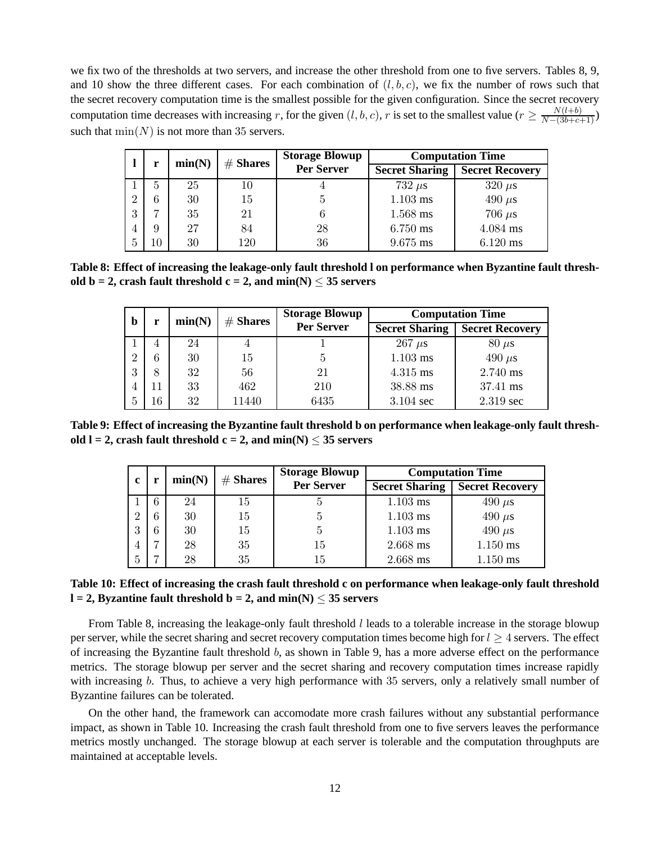we fix two of the thresholds at two servers, and increase the other threshold from one to five servers. Tables 8, 9, and 10 show the three different cases. For each combination of  $(l, b, c)$ , we fix the number of rows such that the secret recovery computation time is the smallest possible for the given configuration. Since the secret recovery computation time decreases with increasing r, for the given  $(l, b, c)$ , r is set to the smallest value  $(r \geq \frac{N(l+b)}{N-(3b+c+1)})$ such that  $\min(N)$  is not more than 35 servers.

|                | r  | min(N) | $#$ Shares |            |                       | <b>Storage Blowup</b>  | <b>Computation Time</b> |  |
|----------------|----|--------|------------|------------|-----------------------|------------------------|-------------------------|--|
|                |    |        |            | Per Server | <b>Secret Sharing</b> | <b>Secret Recovery</b> |                         |  |
|                | 5  | 25     | 10         |            | $732 \mu s$           | $320 \ \mu s$          |                         |  |
| $\overline{2}$ | 6  | 30     | 15         | 5          | $1.103$ ms            | 490 $\mu$ s            |                         |  |
| 3              |    | 35     | 21         |            | 1.568 ms              | 706 $\mu$ s            |                         |  |
| 4              | 9  | 27     | 84         | 28         | 6.750 ms              | 4.084 ms               |                         |  |
| 5              | 10 | 30     | 120        | 36         | 9.675 ms              | $6.120$ ms             |                         |  |

**Table 8: Effect of increasing the leakage-only fault threshold l on performance when Byzantine fault threshold b = 2, crash fault threshold c = 2, and min(N)**  $\leq$  35 servers

| b            | r  | min(N) | $#$ Shares | <b>Storage Blowup</b> | <b>Computation Time</b> |                        |
|--------------|----|--------|------------|-----------------------|-------------------------|------------------------|
|              |    |        |            | Per Server            | <b>Secret Sharing</b>   | <b>Secret Recovery</b> |
|              | 4  | 24     |            |                       | $267 \mu s$             | $80 \mu s$             |
| $\Omega$     | 6  | 30     | 15         | 5                     | $1.103$ ms              | 490 $\mu$ s            |
| 3            | 8  | 32     | 56         | 21                    | 4.315 ms                | 2.740 ms               |
|              | 11 | 33     | 462        | 210                   | 38.88 ms                | 37.41 ms               |
| <sub>5</sub> | 16 | 32     | 11440      | 6435                  | 3.104 sec               | 2.319 sec              |

**Table 9: Effect of increasing the Byzantine fault threshold b on performance when leakage-only fault threshold l = 2, crash fault threshold c = 2, and min(N)**  $\leq$  **35 servers** 

|                | min(N) |    | $#$ Shares        | <b>Storage Blowup</b> | <b>Computation Time</b> |             |
|----------------|--------|----|-------------------|-----------------------|-------------------------|-------------|
| c              |        |    | <b>Per Server</b> | <b>Secret Sharing</b> | <b>Secret Recovery</b>  |             |
|                |        | 24 | 15                |                       | $1.103$ ms              | $490 \mu s$ |
| റ              |        | 30 | 15                | G                     | $1.103$ ms              | 490 $\mu$ s |
| 2<br>O         |        | 30 | 15                | Ġ                     | $1.103$ ms              | 490 $\mu$ s |
| $\overline{4}$ |        | 28 | 35                | 15                    | 2.668 ms                | $1.150$ ms  |
| 5              |        | 28 | 35                | 15                    | 2.668 ms                | $1.150$ ms  |

### **Table 10: Effect of increasing the crash fault threshold c on performance when leakage-only fault threshold**  $l = 2$ , Byzantine fault threshold  $b = 2$ , and  $min(N) < 35$  servers

From Table 8, increasing the leakage-only fault threshold l leads to a tolerable increase in the storage blowup per server, while the secret sharing and secret recovery computation times become high for  $l \geq 4$  servers. The effect of increasing the Byzantine fault threshold b, as shown in Table 9, has a more adverse effect on the performance metrics. The storage blowup per server and the secret sharing and recovery computation times increase rapidly with increasing b. Thus, to achieve a very high performance with 35 servers, only a relatively small number of Byzantine failures can be tolerated.

On the other hand, the framework can accomodate more crash failures without any substantial performance impact, as shown in Table 10. Increasing the crash fault threshold from one to five servers leaves the performance metrics mostly unchanged. The storage blowup at each server is tolerable and the computation throughputs are maintained at acceptable levels.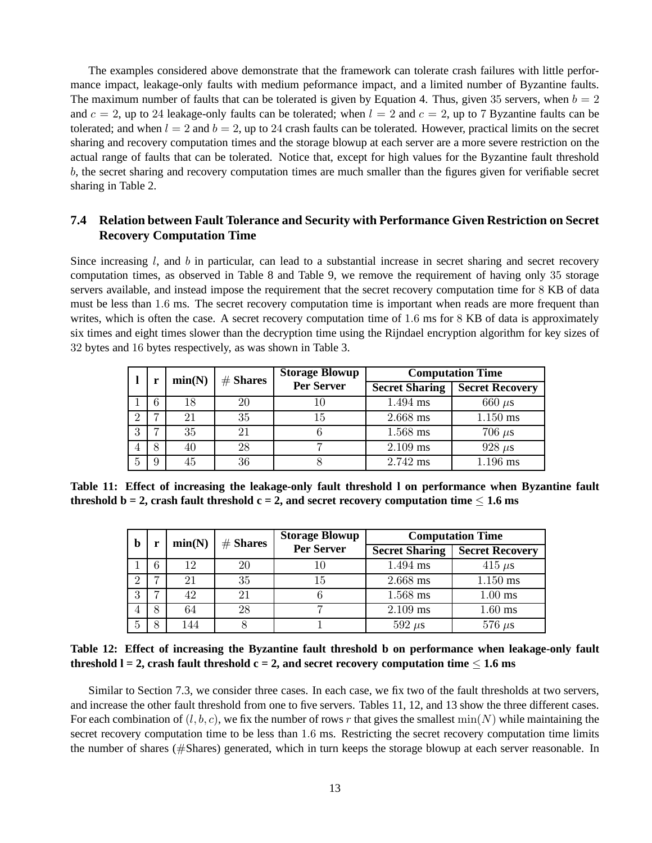The examples considered above demonstrate that the framework can tolerate crash failures with little performance impact, leakage-only faults with medium peformance impact, and a limited number of Byzantine faults. The maximum number of faults that can be tolerated is given by Equation 4. Thus, given 35 servers, when  $b = 2$ and  $c = 2$ , up to 24 leakage-only faults can be tolerated; when  $l = 2$  and  $c = 2$ , up to 7 Byzantine faults can be tolerated; and when  $l = 2$  and  $b = 2$ , up to 24 crash faults can be tolerated. However, practical limits on the secret sharing and recovery computation times and the storage blowup at each server are a more severe restriction on the actual range of faults that can be tolerated. Notice that, except for high values for the Byzantine fault threshold b, the secret sharing and recovery computation times are much smaller than the figures given for verifiable secret sharing in Table 2.

## **7.4 Relation between Fault Tolerance and Security with Performance Given Restriction on Secret Recovery Computation Time**

Since increasing l, and b in particular, can lead to a substantial increase in secret sharing and secret recovery computation times, as observed in Table 8 and Table 9, we remove the requirement of having only 35 storage servers available, and instead impose the requirement that the secret recovery computation time for 8 KB of data must be less than 1.6 ms. The secret recovery computation time is important when reads are more frequent than writes, which is often the case. A secret recovery computation time of 1.6 ms for 8 KB of data is approximately six times and eight times slower than the decryption time using the Rijndael encryption algorithm for key sizes of 32 bytes and 16 bytes respectively, as was shown in Table 3.

|   |   | min(N) | $#$ Shares        | <b>Storage Blowup</b> |                        | <b>Computation Time</b> |
|---|---|--------|-------------------|-----------------------|------------------------|-------------------------|
|   |   |        | <b>Per Server</b> | <b>Secret Sharing</b> | <b>Secret Recovery</b> |                         |
|   | 6 | 18     | 20                | 10                    | 1.494 ms               | $660 \ \mu s$           |
|   | − | 21     | 35                | 15                    | 2.668 ms               | 1.150 ms                |
| 3 | − | 35     | 21                |                       | 1.568 ms               | $706 \ \mu s$           |
|   | 8 | 40     | 28                |                       | 2.109 ms               | $928 \ \mu s$           |
| 5 | 9 | 45     | 36                |                       | 2.742 ms               | 1.196 ms                |

**Table 11: Effect of increasing the leakage-only fault threshold l on performance when Byzantine fault threshold b = 2, crash fault threshold c = 2, and secret recovery computation time**  $\leq 1.6$  **ms** 

| b        |   | min(N) |    | <b>Storage Blowup</b><br>$#$ Shares | <b>Computation Time</b> |                        |
|----------|---|--------|----|-------------------------------------|-------------------------|------------------------|
|          |   |        |    | <b>Per Server</b>                   | <b>Secret Sharing</b>   | <b>Secret Recovery</b> |
|          | 6 | 12     | 20 | 10                                  | 1.494 ms                | 415 $\mu$ s            |
| $\Omega$ |   | 21     | 35 | 15                                  | 2.668 ms                | $1.150$ ms             |
| 3        |   | 42     | 21 |                                     | 1.568 ms                | $1.00$ ms              |
|          | 8 | 64     | 28 |                                     | 2.109 ms                | $1.60$ ms              |
| 5        |   | 144    |    |                                     | $592 \mu s$             | $576 \ \mu s$          |

**Table 12: Effect of increasing the Byzantine fault threshold b on performance when leakage-only fault threshold l = 2, crash fault threshold c = 2, and secret recovery computation time**  $\leq$  **1.6 ms** 

Similar to Section 7.3, we consider three cases. In each case, we fix two of the fault thresholds at two servers, and increase the other fault threshold from one to five servers. Tables 11, 12, and 13 show the three different cases. For each combination of  $(l, b, c)$ , we fix the number of rows r that gives the smallest  $min(N)$  while maintaining the secret recovery computation time to be less than 1.6 ms. Restricting the secret recovery computation time limits the number of shares (#Shares) generated, which in turn keeps the storage blowup at each server reasonable. In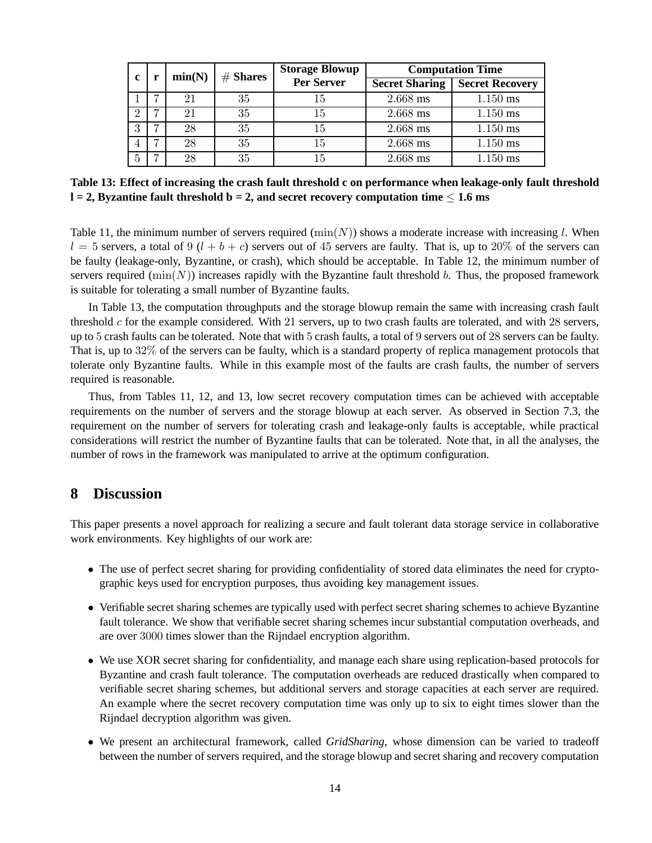| c              | r | min(N) | $#$ Shares | <b>Storage Blowup</b> | <b>Computation Time</b> |                        |
|----------------|---|--------|------------|-----------------------|-------------------------|------------------------|
|                |   |        |            | <b>Per Server</b>     | <b>Secret Sharing</b>   | <b>Secret Recovery</b> |
|                | ⇁ | 21     | 35         | 15                    | 2.668 ms                | $1.150$ ms             |
| റ              | ⇁ | 21     | 35         | 15                    | 2.668 ms                | $1.150$ ms             |
| 3              | ⇁ | 28     | 35         | 15                    | 2.668 ms                | $1.150$ ms             |
| $\overline{4}$ | ⇁ | 28     | 35         | 15                    | 2.668 ms                | $1.150$ ms             |
| 5              | ⇁ | 28     | 35         | 15                    | 2.668 ms                | $1.150$ ms             |

**Table 13: Effect of increasing the crash fault threshold c on performance when leakage-only fault threshold l = 2, Byzantine fault threshold b = 2, and secret recovery computation time** ≤ **1.6 ms**

Table 11, the minimum number of servers required  $(\min(N))$  shows a moderate increase with increasing l. When  $l = 5$  servers, a total of 9 ( $l + b + c$ ) servers out of 45 servers are faulty. That is, up to 20% of the servers can be faulty (leakage-only, Byzantine, or crash), which should be acceptable. In Table 12, the minimum number of servers required  $(\min(N))$  increases rapidly with the Byzantine fault threshold b. Thus, the proposed framework is suitable for tolerating a small number of Byzantine faults.

In Table 13, the computation throughputs and the storage blowup remain the same with increasing crash fault threshold  $c$  for the example considered. With 21 servers, up to two crash faults are tolerated, and with 28 servers, up to 5 crash faults can be tolerated. Note that with 5 crash faults, a total of 9 servers out of 28 servers can be faulty. That is, up to 32% of the servers can be faulty, which is a standard property of replica management protocols that tolerate only Byzantine faults. While in this example most of the faults are crash faults, the number of servers required is reasonable.

Thus, from Tables 11, 12, and 13, low secret recovery computation times can be achieved with acceptable requirements on the number of servers and the storage blowup at each server. As observed in Section 7.3, the requirement on the number of servers for tolerating crash and leakage-only faults is acceptable, while practical considerations will restrict the number of Byzantine faults that can be tolerated. Note that, in all the analyses, the number of rows in the framework was manipulated to arrive at the optimum configuration.

# **8 Discussion**

This paper presents a novel approach for realizing a secure and fault tolerant data storage service in collaborative work environments. Key highlights of our work are:

- The use of perfect secret sharing for providing confidentiality of stored data eliminates the need for cryptographic keys used for encryption purposes, thus avoiding key management issues.
- Verifiable secret sharing schemes are typically used with perfect secret sharing schemes to achieve Byzantine fault tolerance. We show that verifiable secret sharing schemes incur substantial computation overheads, and are over 3000 times slower than the Rijndael encryption algorithm.
- We use XOR secret sharing for confidentiality, and manage each share using replication-based protocols for Byzantine and crash fault tolerance. The computation overheads are reduced drastically when compared to verifiable secret sharing schemes, but additional servers and storage capacities at each server are required. An example where the secret recovery computation time was only up to six to eight times slower than the Rijndael decryption algorithm was given.
- We present an architectural framework, called *GridSharing*, whose dimension can be varied to tradeoff between the number of servers required, and the storage blowup and secret sharing and recovery computation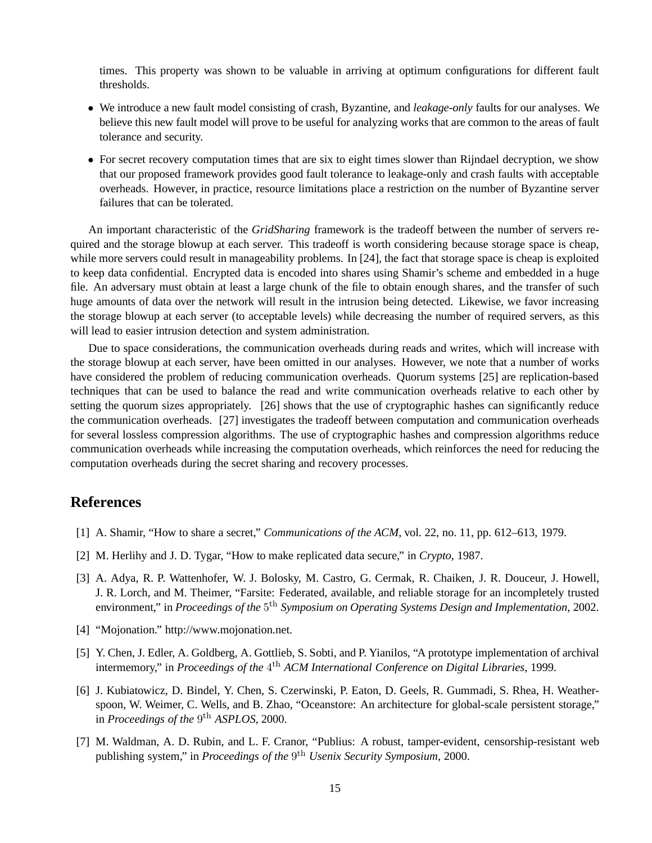times. This property was shown to be valuable in arriving at optimum configurations for different fault thresholds.

- We introduce a new fault model consisting of crash, Byzantine, and *leakage-only* faults for our analyses. We believe this new fault model will prove to be useful for analyzing works that are common to the areas of fault tolerance and security.
- For secret recovery computation times that are six to eight times slower than Rijndael decryption, we show that our proposed framework provides good fault tolerance to leakage-only and crash faults with acceptable overheads. However, in practice, resource limitations place a restriction on the number of Byzantine server failures that can be tolerated.

An important characteristic of the *GridSharing* framework is the tradeoff between the number of servers required and the storage blowup at each server. This tradeoff is worth considering because storage space is cheap, while more servers could result in manageability problems. In [24], the fact that storage space is cheap is exploited to keep data confidential. Encrypted data is encoded into shares using Shamir's scheme and embedded in a huge file. An adversary must obtain at least a large chunk of the file to obtain enough shares, and the transfer of such huge amounts of data over the network will result in the intrusion being detected. Likewise, we favor increasing the storage blowup at each server (to acceptable levels) while decreasing the number of required servers, as this will lead to easier intrusion detection and system administration.

Due to space considerations, the communication overheads during reads and writes, which will increase with the storage blowup at each server, have been omitted in our analyses. However, we note that a number of works have considered the problem of reducing communication overheads. Quorum systems [25] are replication-based techniques that can be used to balance the read and write communication overheads relative to each other by setting the quorum sizes appropriately. [26] shows that the use of cryptographic hashes can significantly reduce the communication overheads. [27] investigates the tradeoff between computation and communication overheads for several lossless compression algorithms. The use of cryptographic hashes and compression algorithms reduce communication overheads while increasing the computation overheads, which reinforces the need for reducing the computation overheads during the secret sharing and recovery processes.

# **References**

- [1] A. Shamir, "How to share a secret," *Communications of the ACM*, vol. 22, no. 11, pp. 612–613, 1979.
- [2] M. Herlihy and J. D. Tygar, "How to make replicated data secure," in *Crypto*, 1987.
- [3] A. Adya, R. P. Wattenhofer, W. J. Bolosky, M. Castro, G. Cermak, R. Chaiken, J. R. Douceur, J. Howell, J. R. Lorch, and M. Theimer, "Farsite: Federated, available, and reliable storage for an incompletely trusted environment," in *Proceedings of the* 5<sup>th</sup> Symposium on Operating Systems Design and Implementation, 2002.
- [4] "Mojonation." http://www.mojonation.net.
- [5] Y. Chen, J. Edler, A. Goldberg, A. Gottlieb, S. Sobti, and P. Yianilos, "A prototype implementation of archival intermemory," in *Proceedings of the* 4 th *ACM International Conference on Digital Libraries*, 1999.
- [6] J. Kubiatowicz, D. Bindel, Y. Chen, S. Czerwinski, P. Eaton, D. Geels, R. Gummadi, S. Rhea, H. Weatherspoon, W. Weimer, C. Wells, and B. Zhao, "Oceanstore: An architecture for global-scale persistent storage," in *Proceedings of the* 9<sup>th</sup> ASPLOS, 2000.
- [7] M. Waldman, A. D. Rubin, and L. F. Cranor, "Publius: A robust, tamper-evident, censorship-resistant web publishing system," in *Proceedings of the* 9<sup>th</sup> *Usenix Security Symposium*, 2000.